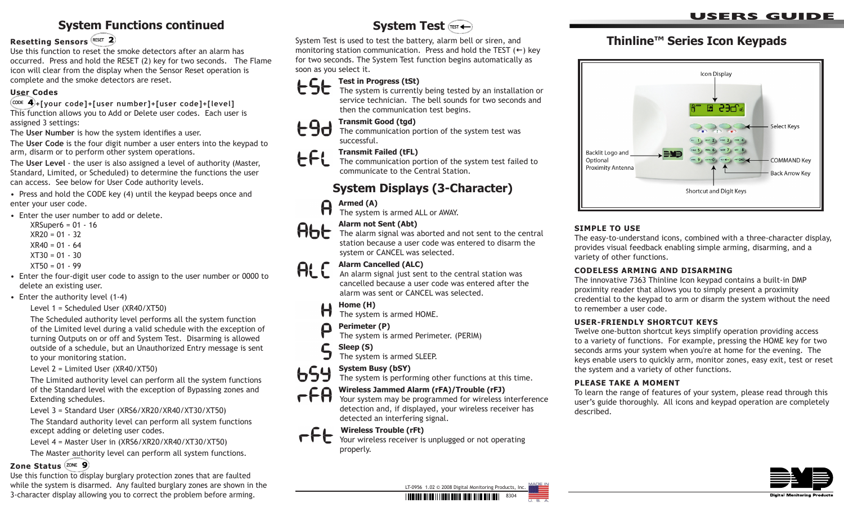### **System Functions continued**

#### **Resetting Sensors**

Use this function to reset the smoke detectors after an alarm has occurred. Press and hold the RESET (2) key for two seconds. The Flame icon will clear from the display when the Sensor Reset operation is complete and the smoke detectors are reset.

#### **User Codes**

**+[your code]+[user number]+[user code]+[level]** This function allows you to Add or Delete user codes. Each user is assigned 3 settings:

The **User Number** is how the system identifies a user.

The **User Code** is the four digit number a user enters into the keypad to arm, disarm or to perform other system operations.

The **User Level** - the user is also assigned a level of authority (Master, Standard, Limited, or Scheduled) to determine the functions the user can access. See below for User Code authority levels.

• Press and hold the CODE key (4) until the keypad beeps once and enter your user code.

- Enter the user number to add or delete.
	- $XRSuper6 = 01 16$  $XR20 = 01 - 32$  $XR40 = 01 - 64$
	- $XT30 = 01 30$
	-
	- $XT50 = 01 99$
- Enter the four-digit user code to assign to the user number or 0000 to delete an existing user.
- Enter the authority level (1-4)

#### Level 1 = Scheduled User (XR40/XT50)

The Scheduled authority level performs all the system function of the Limited level during a valid schedule with the exception of turning Outputs on or off and System Test. Disarming is allowed outside of a schedule, but an Unauthorized Entry message is sent to your monitoring station.

Level 2 = Limited User (XR40/XT50)

The Limited authority level can perform all the system functions of the Standard level with the exception of Bypassing zones and Extending schedules.

Level 3 = Standard User (XRS6/XR20/XR40/XT30/XT50)

The Standard authority level can perform all system functions except adding or deleting user codes.

Level 4 = Master User in (XRS6/XR20/XR40/XT30/XT50)

The Master authority level can perform all system functions.

#### **Zone Status**

Use this function to display burglary protection zones that are faulted while the system is disarmed. Any faulted burglary zones are shown in the 3-character display allowing you to correct the problem before arming.

### **System Test**

System Test is used to test the battery, alarm bell or siren, and monitoring station communication. Press and hold the TEST  $(+)$  key for two seconds. The System Test function begins automatically as soon as you select it.

# **Standary Test in Progress (tSt)**<br>The system is currently



The system is currently being tested by an installation or service technician. The bell sounds for two seconds and then the communication test begins.

# **190** Transmit Good (tgd)<br>The communication po

The communication portion of the system test was successful.

#### **Transmit Failed (tFL)** EFL

The communication portion of the system test failed to communicate to the Central Station.

### **System Displays (3-Character)**

# **Armed (A)**<br>The system

The system is armed ALL or AWAY.

#### **Alarm not Sent (Abt)**



Alternative sent (Aber, the state of and not sent to the central The alarm signal was aborted and not sent to disorm the station because a user code was entered to disarm the system or CANCEL was selected.

# **Alarm Cancelled (ALC)**<br>An alarm signal just sen

An alarm signal just sent to the central station was cancelled because a user code was entered after the alarm was sent or CANCEL was selected.

#### **Home (H)**  $\bigoplus$

The system is armed HOME.

#### **Perimeter (P)** Ω

The system is armed Perimeter. (PERIM)

#### C  **Sleep (S)**

The system is armed SLEEP.

#### **System Busy (bSY)**

The system is performing other functions at this time.

# $\leftarrow$  $\leftarrow$  $\leftarrow$  Wireless Jammed Alarm (rFA)/Trouble (rFJ)

Your system may be programmed for wireless interference detection and, if displayed, your wireless receiver has detected an interfering signal.

## **FEL** Wireless Trouble (rFt)

Your wireless receiver is unplugged or not operating properly.

### **users guide**

### **Thinline™ Series Icon Keypads**



#### **SIMPLE TO USE**

The easy-to-understand icons, combined with a three-character display, provides visual feedback enabling simple arming, disarming, and a variety of other functions.

#### **CODELESS ARMING AND DISARMING**

The innovative 7363 Thinline Icon keypad contains a built-in DMP proximity reader that allows you to simply present a proximity credential to the keypad to arm or disarm the system without the need to remember a user code.

#### **User-friendly Shortcut Keys**

Twelve one-button shortcut keys simplify operation providing access to a variety of functions. For example, pressing the HOME key for two seconds arms your system when you're at home for the evening. The keys enable users to quickly arm, monitor zones, easy exit, test or reset the system and a variety of other functions.

#### **Please Take a Moment**

To learn the range of features of your system, please read through this user's guide thoroughly. All icons and keypad operation are completely described.





8304